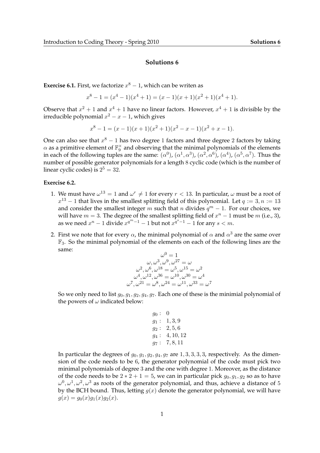## **Solutions 6**

**Exercise 6.1.** First, we factorize  $x^8 - 1$ , which can be writen as

$$
x^{8}-1 = (x^{4}-1)(x^{4}+1) = (x-1)(x+1)(x^{2}+1)(x^{4}+1).
$$

Observe that  $x^2 + 1$  and  $x^4 + 1$  have no linear factors. However,  $x^4 + 1$  is divisible by the irreducible polynomial  $x^2 - x - 1$ , which gives

$$
x^{8}-1 = (x - 1)(x + 1)(x^{2} + 1)(x^{2} - x - 1)(x^{2} + x - 1).
$$

One can also see that  $x^8 - 1$  has two degree 1 factors and three degree 2 factors by taking  $\alpha$  as a primitive element of  $\mathbb{F}_9^{\times}$  and observing that the minimal polynomials of the elements in each of the following tuples are the same:  $(\alpha^0)$ ,  $(\alpha^1, \alpha^3)$ ,  $(\alpha^2, \alpha^6)$ ,  $(\alpha^4)$ ,  $(\alpha^5, \alpha^7)$ . Thus the number of possible generator polynomials for a length 8 cyclic code (which is the number of linear cyclic codes) is  $2^5 = 32$ .

## **Exercise 6.2.**

- 1. We must have  $\omega^{13} = 1$  and  $\omega^r \neq 1$  for every  $r < 13$ . In particular,  $\omega$  must be a root of  $x^{13} - 1$  that lives in the smallest splitting field of this polynomial. Let  $q := 3, n := 13$ and consider the smallest integer m such that n divides  $q^m - 1$ . For our choices, we will have  $m = 3$ . The degree of the smallest splitting field of  $x<sup>n</sup> - 1$  must be  $m$  (i.e., 3), as we need  $x^n - 1$  divide  $x^{q^m-1} - 1$  but not  $x^{q^s-1} - 1$  for any  $s < m$ .
- 2. First we note that for every  $\alpha$ , the minimal polynomial of  $\alpha$  and  $\alpha^3$  are the same over  $\mathbb{F}_3$ . So the minimal polynomial of the elements on each of the following lines are the same:

$$
\omega^{0} = 1
$$
  
\n
$$
\omega, \omega^{3}, \omega^{9}, \omega^{27} = \omega
$$
  
\n
$$
\omega^{2}, \omega^{6}, \omega^{18} = \omega^{5}, \omega^{15} = \omega^{2}
$$
  
\n
$$
\omega^{4}, \omega^{12}, \omega^{36} = \omega^{10}, \omega^{30} = \omega^{4}
$$
  
\n
$$
\omega^{7}, \omega^{21} = \omega^{8}, \omega^{24} = \omega^{11}, \omega^{33} = \omega^{7}
$$

So we only need to list  $g_0, g_1, g_2, g_4, g_7$ . Each one of these is the minimial polynomial of the powers of  $\omega$  indicated below:

$$
g_0: 0\n g_1: 1, 3, 9\n g_2: 2, 5, 6\n g_4: 4, 10, 12\n g_7: 7, 8, 11
$$

In particular the degrees of  $g_0$ ,  $g_1$ ,  $g_2$ ,  $g_4$ ,  $g_7$  are 1, 3, 3, 3, 3, respectively. As the dimension of the code needs to be 6, the generator polynomial of the code must pick two minimal polynomials of degree 3 and the one with degree 1. Moreover, as the distance of the code needs to be  $2 * 2 + 1 = 5$ , we can in particular pick  $g_0, g_1, g_2$  so as to have  $\omega^0, \omega^1, \omega^2, \omega^3$  as roots of the generator polynomial, and thus, achieve a distance of 5 by the BCH bound. Thus, letting  $g(x)$  denote the generator polynomial, we will have  $g(x) = g_0(x)g_1(x)g_2(x).$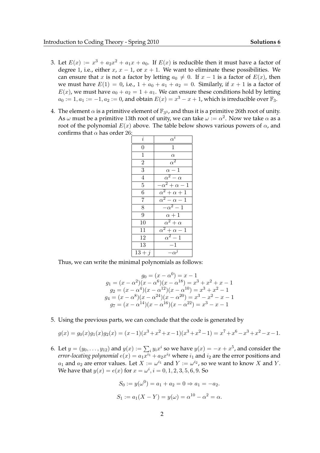- 3. Let  $E(x) := x^3 + a_2x^2 + a_1x + a_0$ . If  $E(x)$  is reducible then it must have a factor of degree 1, i.e., either x,  $x - 1$ , or  $x + 1$ . We want to eliminate these possibilities. We can ensure that x is not a factor by letting  $a_0 \neq 0$ . If  $x - 1$  is a factor of  $E(x)$ , then we must have  $E(1) = 0$ , i.e.,  $1 + a_0 + a_1 + a_2 = 0$ . Similarly, if  $x + 1$  is a factor of  $E(x)$ , we must have  $a_0 + a_2 = 1 + a_1$ . We can ensure these conditions hold by letting  $a_0 := 1, a_1 := -1, a_2 := 0$ , and obtain  $E(x) = x^3 - x + 1$ , which is irreducible over  $\mathbb{F}_3$ .
- 4. The element  $\alpha$  is a primitive element of  $\mathbb{F}_{3^3}$ , and thus it is a primitive 26th root of unity. As  $\omega$  must be a primitive 13th root of unity, we can take  $\omega:=\alpha^2.$  Now we take  $\alpha$  as a root of the polynomial  $E(x)$  above. The table below shows various powers of  $\alpha$ , and confirms that  $\alpha$  has order 26:

| $\dot{i}$       | $\alpha^{\bar{i}}$           |
|-----------------|------------------------------|
| $\overline{0}$  | $\overline{1}$               |
| $\overline{1}$  | $\alpha$                     |
| $\bar{2}$       | $\alpha^2$                   |
| $\overline{3}$  | $\alpha - 1$                 |
| $\overline{4}$  | $\overline{\alpha^2-\alpha}$ |
| $\overline{5}$  | $-\alpha^2 + \alpha - 1$     |
| $\overline{6}$  | $\alpha^2 + \alpha + 1$      |
| $\overline{7}$  | $\alpha^2-\alpha-1$          |
| $\overline{8}$  | $-\alpha^2-1$                |
| $\overline{9}$  | $\alpha+1$                   |
| $1\overline{0}$ | $\alpha^2 + \alpha$          |
| 11              | $\alpha^2 + \alpha - 1$      |
| 12              | $\alpha^2-1$                 |
| 13              | $-1\,$                       |
| $13 + j$        | $-\alpha^j$                  |

Thus, we can write the minimal polynomials as follows:

$$
g_0 = (x - \alpha^0) = x - 1
$$
  
\n
$$
g_1 = (x - \alpha^2)(x - \alpha^6)(x - \alpha^{18}) = x^3 + x^2 + x - 1
$$
  
\n
$$
g_2 = (x - \alpha^4)(x - \alpha^{12})(x - \alpha^{10}) = x^3 + x^2 - 1
$$
  
\n
$$
g_4 = (x - \alpha^8)(x - \alpha^{24})(x - \alpha^{20}) = x^3 - x^2 - x - 1
$$
  
\n
$$
g_7 = (x - \alpha^{14})(x - \alpha^{16})(x - \alpha^{22}) = x^3 - x - 1
$$

5. Using the previous parts, we can conclude that the code is generated by

$$
g(x) = g_0(x)g_1(x)g_2(x) = (x-1)(x^3 + x^2 + x - 1)(x^3 + x^2 - 1) = x^7 + x^6 - x^3 + x^2 - x - 1.
$$

6. Let  $y = (y_0, \ldots, y_{12})$  and  $y(x) := \sum_i y_i x^i$  so we have  $y(x) = -x + x^5$ , and consider the *error-locating polynomial*  $e(x) = a_1 x^{i_1} + a_2 x^{i_2}$  *where*  $i_1$  *and*  $i_2$  *are the error positions and*  $a_1$  and  $a_2$  are error values. Let  $X := \omega^{i_1}$  and  $Y := \omega^{i_2}$ , so we want to know X and Y. We have that  $y(x) = e(x)$  for  $x = \omega^i, i = 0, 1, 2, 3, 5, 6, 9$ . So

$$
S_0 := y(\omega^0) = a_1 + a_2 = 0 \Rightarrow a_1 = -a_2.
$$
  
 $S_1 := a_1(X - Y) = y(\omega) = \alpha^{10} - \alpha^2 = \alpha.$